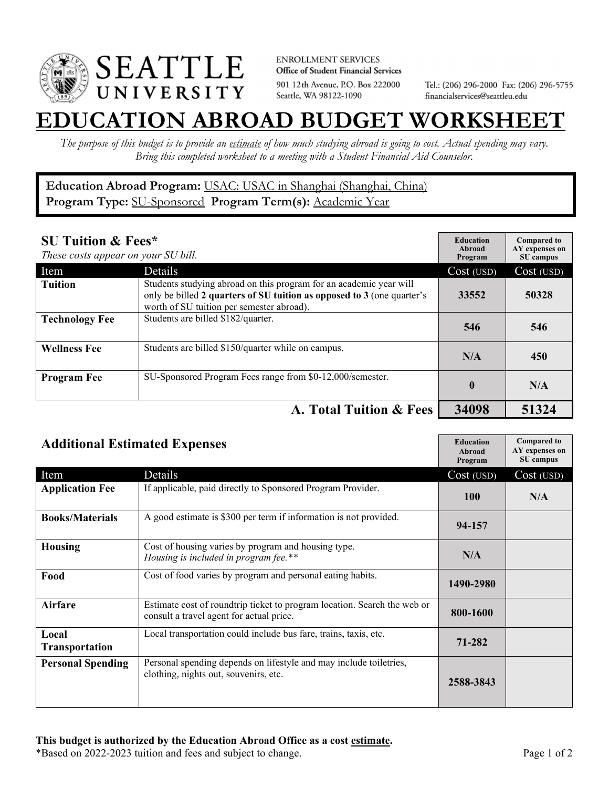

**ENROLLMENT SERVICES** Office of Student Financial Services 901 12th Avenue, P.O. Box 222000 Seattle, WA 98122-1090

Tel.: (206) 296-2000 Fax: (206) 296-5755 financialservices@seattleu.edu

## **EATION ABROAD BUDGET WORKSHEE**

*The purpose of this budget is to provide an estimate of how much studying abroad is going to cost. Actual spending may vary. Bring this completed worksheet to a meeting with a Student Financial Aid Counselor.* 

## **Education Abroad Program:** USAC: USAC in Shanghai (Shanghai, China) Program Type: **SU-Sponsored** Program Term(s): **Academic Year**

| <b>SU Tuition &amp; Fees*</b><br>These costs appear on your SU bill. |                                                                                                                                                                                           | <b>Education</b><br>Abroad<br>Program | <b>Compared to</b><br>AY expenses on<br>SU campus |
|----------------------------------------------------------------------|-------------------------------------------------------------------------------------------------------------------------------------------------------------------------------------------|---------------------------------------|---------------------------------------------------|
| Item                                                                 | <b>Details</b>                                                                                                                                                                            | Cost (USD)                            | Cost (USD)                                        |
| <b>Tuition</b>                                                       | Students studying abroad on this program for an academic year will<br>only be billed 2 quarters of SU tuition as opposed to 3 (one quarter's<br>worth of SU tuition per semester abroad). | 33552                                 | 50328                                             |
| <b>Technology Fee</b>                                                | Students are billed \$182/quarter.                                                                                                                                                        | 546                                   | 546                                               |
| <b>Wellness Fee</b>                                                  | Students are billed \$150/quarter while on campus.                                                                                                                                        | N/A                                   | 450                                               |
| <b>Program Fee</b>                                                   | SU-Sponsored Program Fees range from \$0-12,000/semester.                                                                                                                                 | $\mathbf 0$                           | N/A                                               |
|                                                                      | A. Total Tuition & Fees                                                                                                                                                                   | 34098                                 | 51324                                             |

| <b>Additional Estimated Expenses</b> |                                                                                                                      | <b>Education</b><br>Abroad<br>Program | <b>Compared to</b><br>AY expenses on<br>SU campus |
|--------------------------------------|----------------------------------------------------------------------------------------------------------------------|---------------------------------------|---------------------------------------------------|
| Item                                 | Details                                                                                                              | Cost (USD)                            | Cost (USD)                                        |
| <b>Application Fee</b>               | If applicable, paid directly to Sponsored Program Provider.                                                          | <b>100</b>                            | N/A                                               |
| <b>Books/Materials</b>               | A good estimate is \$300 per term if information is not provided.                                                    | 94-157                                |                                                   |
| <b>Housing</b>                       | Cost of housing varies by program and housing type.<br>Housing is included in program fee.**                         | N/A                                   |                                                   |
| Food                                 | Cost of food varies by program and personal eating habits.                                                           | 1490-2980                             |                                                   |
| Airfare                              | Estimate cost of roundtrip ticket to program location. Search the web or<br>consult a travel agent for actual price. | 800-1600                              |                                                   |
| Local<br><b>Transportation</b>       | Local transportation could include bus fare, trains, taxis, etc.                                                     | 71-282                                |                                                   |
| <b>Personal Spending</b>             | Personal spending depends on lifestyle and may include toiletries,<br>clothing, nights out, souvenirs, etc.          | 2588-3843                             |                                                   |